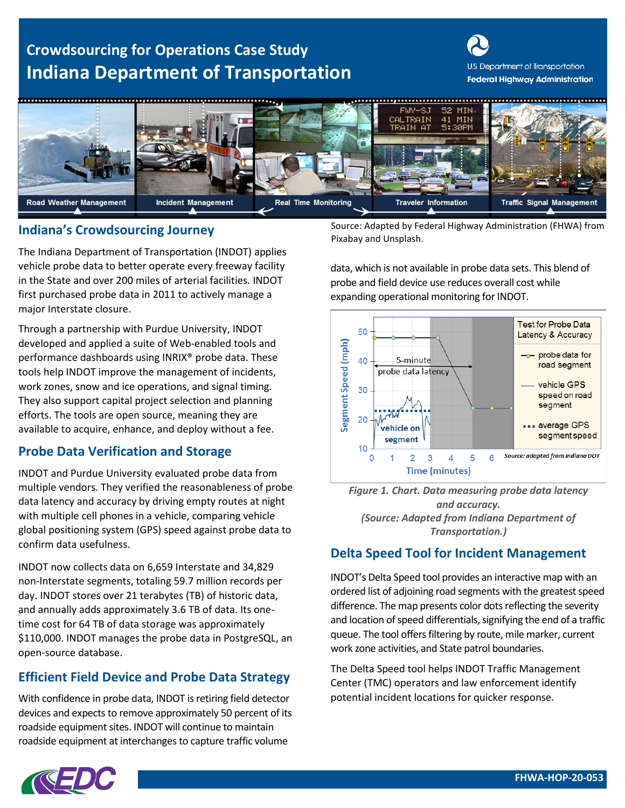# **Crowdsourcing for Operations Case Study Indiana Department of Transportation**

U.S. Department of Transportation **Federal Highway Administration** 



# **Indiana's Crowdsourcing Journey Example 10 Source: Adapted by Fermion Pixabay and Unsplash.**

The Indiana Department of Transportation (INDOT) applies vehicle probe data to better operate every freeway facility in the State and over 200 miles of arterial facilities. INDOT first purchased probe data in 2011 to actively manage a major Interstate closure.

Through a partnership with Purdue University, INDOT developed and applied a suite of Web-enabled tools and performance dashboards using INRIX® probe data. These tools help INDOT improve the management of incidents, work zones, snow and ice operations, and signal timing. They also support capital project selection and planning efforts. The tools are open source, meaning they are available to acquire, enhance, and deploy without a fee.

### **Probe Data Verification and Storage**

INDOT and Purdue University evaluated probe data from multiple vendors. They verified the reasonableness of probe data latency and accuracy by driving empty routes at night with multiple cell phones in a vehicle, comparing vehicle global positioning system (GPS) speed against probe data to confirm data usefulness.

INDOT now collects data on 6,659 Interstate and 34,829 non-Interstate segments, totaling 59.7 million records per day. INDOT stores over 21 terabytes (TB) of historic data, and annually adds approximately 3.6 TB of data. Its onetime cost for 64 TB of data storage was approximately \$110,000. INDOT manages the probe data in PostgreSQL, an open-source database.

## **Efficient Field Device and Probe Data Strategy**

With confidence in probe data, INDOT is retiring field detector devices and expects to remove approximately 50 percent of its roadside equipment sites. INDOT will continue to maintain roadside equipment at interchanges to capture traffic volume

Source: Adapted by Federal Highway Administration (FHWA) from

data, which is not available in probe data sets. This blend of probe and field device use reduces overall cost while expanding operational monitoring for INDOT.



*Figure 1. Chart. Data measuring probe data latency and accuracy. (Source: Adapted from Indiana Department of Transportation.)*

## **Delta Speed Tool for Incident Management**

INDOT's Delta Speed tool provides an interactive map with an ordered list of adjoining road segments with the greatest speed difference. The map presents color dots reflecting the severity and location of speed differentials, signifying the end of a traffic queue. The tool offers filtering by route, mile marker, current work zone activities, and State patrol boundaries.

The Delta Speed tool helps INDOT Traffic Management Center (TMC) operators and law enforcement identify potential incident locations for quicker response.